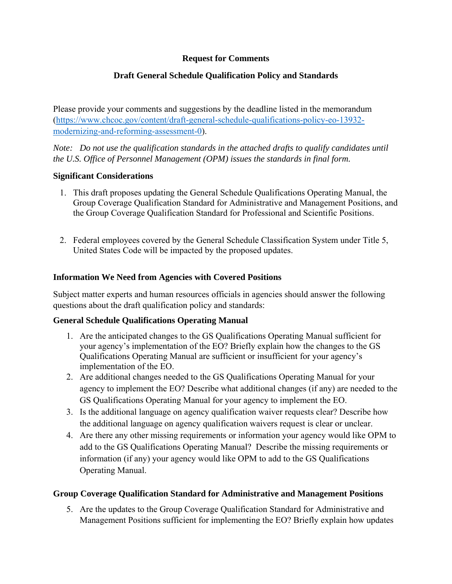### **Request for Comments**

# **Draft General Schedule Qualification Policy and Standards**

Please provide your comments and suggestions by the deadline listed in the memorandum [\(https://www.chcoc.gov/content/draft-general-schedule-qualifications-policy-eo-13932](https://www.chcoc.gov/content/draft-general-schedule-qualifications-policy-eo-13932-modernizing-and-reforming-assessment-0) [modernizing-and-reforming-assessment-0\)](https://www.chcoc.gov/content/draft-general-schedule-qualifications-policy-eo-13932-modernizing-and-reforming-assessment-0).

*Note: Do not use the qualification standards in the attached drafts to qualify candidates until the U.S. Office of Personnel Management (OPM) issues the standards in final form.* 

#### **Significant Considerations**

- 1. This draft proposes updating the General Schedule Qualifications Operating Manual, the Group Coverage Qualification Standard for Administrative and Management Positions, and the Group Coverage Qualification Standard for Professional and Scientific Positions.
- 2. Federal employees covered by the General Schedule Classification System under Title 5, United States Code will be impacted by the proposed updates.

## **Information We Need from Agencies with Covered Positions**

Subject matter experts and human resources officials in agencies should answer the following questions about the draft qualification policy and standards:

## **General Schedule Qualifications Operating Manual**

- 1. Are the anticipated changes to the GS Qualifications Operating Manual sufficient for your agency's implementation of the EO? Briefly explain how the changes to the GS Qualifications Operating Manual are sufficient or insufficient for your agency's implementation of the EO.
- 2. Are additional changes needed to the GS Qualifications Operating Manual for your agency to implement the EO? Describe what additional changes (if any) are needed to the GS Qualifications Operating Manual for your agency to implement the EO.
- 3. Is the additional language on agency qualification waiver requests clear? Describe how the additional language on agency qualification waivers request is clear or unclear.
- 4. Are there any other missing requirements or information your agency would like OPM to add to the GS Qualifications Operating Manual? Describe the missing requirements or information (if any) your agency would like OPM to add to the GS Qualifications Operating Manual.

## **Group Coverage Qualification Standard for Administrative and Management Positions**

5. Are the updates to the Group Coverage Qualification Standard for Administrative and Management Positions sufficient for implementing the EO? Briefly explain how updates